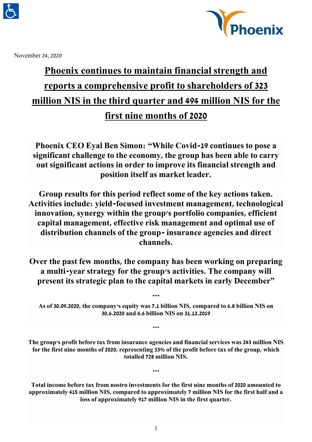



November 24, 2020

# **Phoenix continues to maintain financial strength and reports a comprehensive profit to shareholders of 323 million NIS in the third quarter and 494 million NIS for the first nine months of 2020**

**Phoenix CEO Eyal Ben Simon: "While Covid-19 continues to pose a significant challenge to the economy, the group has been able to carry out significant actions in order to improve its financial strength and position itself as market leader.**

**Group results for this period reflect some of the key actions taken. Activities include: yield-focused investment management, technological innovation, synergy within the group's portfolio companies, efficient capital management, effective risk management and optimal use of distribution channels of the group- insurance agencies and direct channels.**

**Over the past few months, the company has been working on preparing a multi-year strategy for the group's activities. The company will present its strategic plan to the capital markets in early December"**

**As of 30.09.2020, the company's equity was 7.1 billion NIS, compared to 6.8 billion NIS on 30.6.2020 and 6.6 billion NIS on 31.12.2019**

**\*\*\***

**\*\*\***

**The group's profit before tax from insurance agencies and financial services was 243 million NIS for the first nine months of 2020, representing 33% of the profit before tax of the group, which totalled 728 million NIS.**

**\*\*\***

**Total income before tax from nostro investments for the first nine months of 2020 amounted to approximately 415 million NIS, compared to approximately 7 million NIS for the first half and a loss of approximately 917 million NIS in the first quarter.**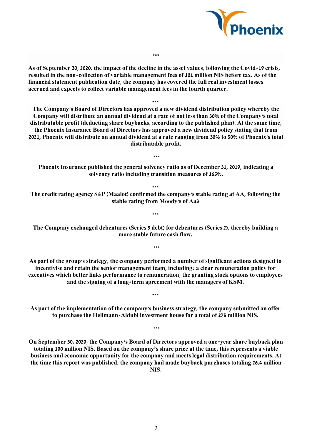

**As of September 30, 2020, the impact of the decline in the asset values, following the Covid-19 crisis, resulted in the non-collection of variable management fees of 101 million NIS before tax. As of the financial statement publication date, the company has covered the full real investment losses accrued and expects to collect variable management fees in the fourth quarter.**

**\*\*\***

**\*\*\* The Company's Board of Directors has approved a new dividend distribution policy whereby the Company will distribute an annual dividend at a rate of not less than 30% of the Company's total distributable profit (deducting share buybacks, according to the published plan). At the same time, the Phoenix Insurance Board of Directors has approved a new dividend policy stating that from 2021, Phoenix will distribute an annual dividend at a rate ranging from 30% to 50% of Phoenix's total distributable profit.**

**Phoenix Insurance published the general solvency ratio as of December 31, 2019, indicating a solvency ratio including transition measures of 165%.**

**\*\*\***

**\*\*\***

**The credit rating agency S&P (Maalot) confirmed the company's stable rating at AA, following the stable rating from Moody's of Aa3** 

**\*\*\*** 

**The Company exchanged debentures (Series 5 debt) for debentures (Series 2), thereby building a more stable future cash flow.**

**\*\*\***

**As part of the group's strategy, the company performed a number of significant actions designed to incentivise and retain the senior management team, including: a clear remuneration policy for executives which better links performance to remuneration, the granting stock options to employees and the signing of a long-term agreement with the managers of KSM.** 

**As part of the implementation of the company's business strategy, the company submitted an offer to purchase the Hellmann-Aldubi investment house for a total of 275 million NIS.**

**\*\*\***

**\*\*\***

**On September 30, 2020, the Company's Board of Directors approved a one-year share buyback plan totaling 100 million NIS. Based on the company's share price at the time, this represents a viable business and economic opportunity for the company and meets legal distribution requirements. At the time this report was published, the company had made buyback purchases totaling 26.4 million NIS.**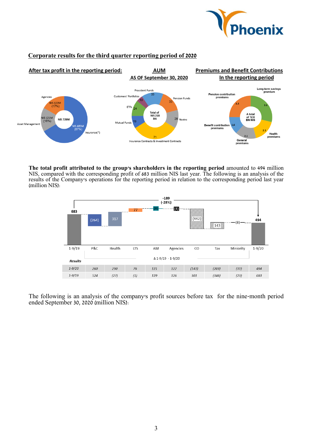

# **Corporate results for the third quarter reporting period of 2020**



**The total profit attributed to the group's shareholders in the reporting period** amounted to 494 million NIS, compared with the corresponding profit of 683 million NIS last year. The following is an analysis of the results of the Company's operations for the reporting period in relation to the corresponding period last year (million NIS):



The following is an analysis of the company's profit sources before tax for the nine-month period ended September 30, 2020 (million NIS):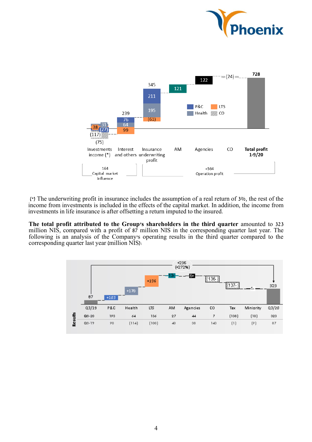



 )\*( The underwriting profit in insurance includes the assumption of a real return of 3%, the rest of the income from investments is included in the effects of the capital market. In addition, the income from investments in life insurance is after offsetting a return imputed to the insured.

**The total profit attributed to the Group's shareholders in the third quarter** amounted to 323 million NIS, compared with a profit of 87 million NIS in the corresponding quarter last year. The following is an analysis of the Company's operating results in the third quarter compared to the corresponding quarter last year (million NIS):

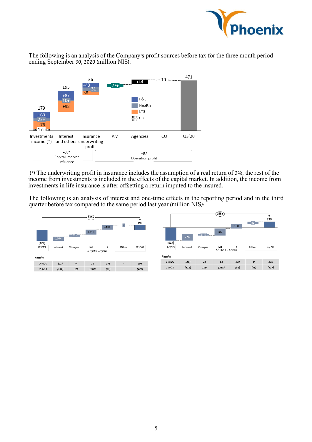

The following is an analysis of the Company's profit sources before tax for the three month period ending September 30, 2020 (million NIS):



( $*$ ) The underwriting profit in insurance includes the assumption of a real return of  $3\%$ , the rest of the income from investments is included in the effects of the capital market. In addition, the income from investments in life insurance is after offsetting a return imputed to the insured.

The following is an analysis of interest and one-time effects in the reporting period and in the third quarter before tax compared to the same period last year (million NIS):

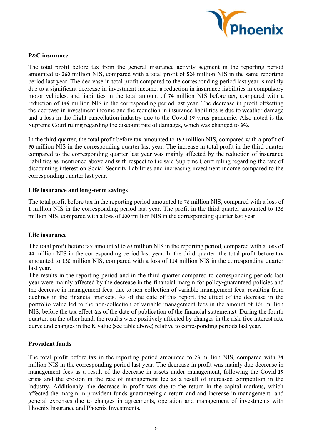

## **P&C insurance**

The total profit before tax from the general insurance activity segment in the reporting period amounted to 260 million NIS, compared with a total profit of 524 million NIS in the same reporting period last year. The decrease in total profit compared to the corresponding period last year is mainly due to a significant decrease in investment income, a reduction in insurance liabilities in compulsory motor vehicles, and liabilities in the total amount of 74 million NIS before tax, compared with a reduction of 149 million NIS in the corresponding period last year. The decrease in profit offsetting the decrease in investment income and the reduction in insurance liabilities is due to weather damage and a loss in the flight cancellation industry due to the Covid-19 virus pandemic. Also noted is the Supreme Court ruling regarding the discount rate of damages, which was changed to 3%.

In the third quarter, the total profit before tax amounted to 193 million NIS, compared with a profit of 90 million NIS in the corresponding quarter last year. The increase in total profit in the third quarter compared to the corresponding quarter last year was mainly affected by the reduction of insurance liabilities as mentioned above and with respect to the said Supreme Court ruling regarding the rate of discounting interest on Social Security liabilities and increasing investment income compared to the corresponding quarter last year.

## **Life insurance and long-term savings**

The total profit before tax in the reporting period amounted to 76 million NIS, compared with a loss of 1 million NIS in the corresponding period last year. The profit in the third quarter amounted to 136 million NIS, compared with a loss of 100 million NIS in the corresponding quarter last year.

# **Life insurance**

The total profit before tax amounted to 63 million NIS in the reporting period, compared with a loss of 44 million NIS in the corresponding period last year. In the third quarter, the total profit before tax amounted to 130 million NIS, compared with a loss of 114 million NIS in the corresponding quarter last year.

The results in the reporting period and in the third quarter compared to corresponding periods last year were mainly affected by the decrease in the financial margin for policy-guaranteed policies and the decrease in management fees, due to non-collection of variable management fees, resulting from declines in the financial markets. As of the date of this report, the effect of the decrease in the portfolio value led to the non-collection of variable management fees in the amount of 101 million NIS, before the tax effect (as of the date of publication of the financial statements). During the fourth quarter, on the other hand, the results were positively affected by changes in the risk-free interest rate curve and changes in the K value (see table above) relative to corresponding periods last year.

#### **Provident funds**

The total profit before tax in the reporting period amounted to 23 million NIS, compared with 34 million NIS in the corresponding period last year. The decrease in profit was mainly due decrease in management fees as a result of the decrease in assets under management, following the Covid-19 crisis and the erosion in the rate of management fee as a result of increased competition in the industry. Additionaly, the decrease in profit was due to the return in the capital markets, which affected the margin in provident funds guaranteeing a return and and increase in management and general expenses due to changes in agreements, operation and management of investments with Phoenix Insurance and Phoenix Investments.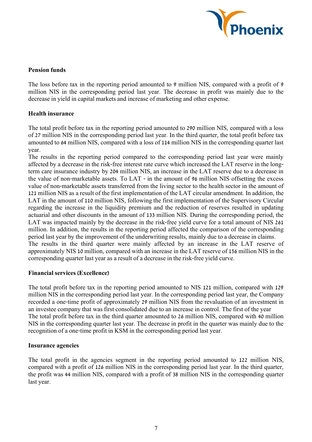

# **Pension funds**

The loss before tax in the reporting period amounted to 9 million NIS, compared with a profit of 9 million NIS in the corresponding period last year. The decrease in profit was mainly due to the decrease in yield in capital markets and increase of marketing and other expense.

# **Health insurance**

The total profit before tax in the reporting period amounted to 290 million NIS, compared with a loss of 27 million NIS in the corresponding period last year. In the third quarter, the total profit before tax amounted to 64 million NIS, compared with a loss of 114 million NIS in the corresponding quarter last year.

The results in the reporting period compared to the corresponding period last year were mainly affected by a decrease in the risk-free interest rate curve which increased the LAT reserve in the longterm care insurance industry by 204 million NIS, an increase in the LAT reserve due to a decrease in the value of non-marketable assets. To LAT - in the amount of 96 million NIS offsetting the excess value of non-marketable assets transferred from the living sector to the health sector in the amount of 121 million NIS as a result of the first implementation of the LAT circular amendment. In addition, the LAT in the amount of 110 million NIS, following the first implementation of the Supervisory Circular regarding the increase in the liquidity premium and the reduction of reserves resulted in updating actuarial and other discounts in the amount of 133 million NIS. During the corresponding period, the LAT was impacted mainly by the decrease in the risk-free yield curve for a total amount of NIS 261 million. In addition, the results in the reporting period affected the comparison of the corresponding period last year by the improvement of the underwriting results, mainly due to a decrease in claims. The results in the third quarter were mainly affected by an increase in the LAT reserve of

approximately NIS 10 million, compared with an increase in the LAT reserve of 156 million NIS in the corresponding quarter last year as a result of a decrease in the risk-free yield curve.

# **Financial services (Excellence)**

The total profit before tax in the reporting period amounted to NIS 121 million, compared with 129 million NIS in the corresponding period last year. In the corresponding period last year, the Company recorded a one-time profit of approximately 29 million NIS from the revaluation of an investment in an investee company that was first consolidated due to an increase in control. The first of the year The total profit before tax in the third quarter amounted to 26 million NIS, compared with 40 million NIS in the corresponding quarter last year. The decrease in profit in the quarter was mainly due to the recognition of a one-time profit in KSM in the corresponding period last year.

# **Insurance agencies**

The total profit in the agencies segment in the reporting period amounted to 122 million NIS, compared with a profit of 126 million NIS in the corresponding period last year. In the third quarter, the profit was 44 million NIS, compared with a profit of 38 million NIS in the corresponding quarter last year.